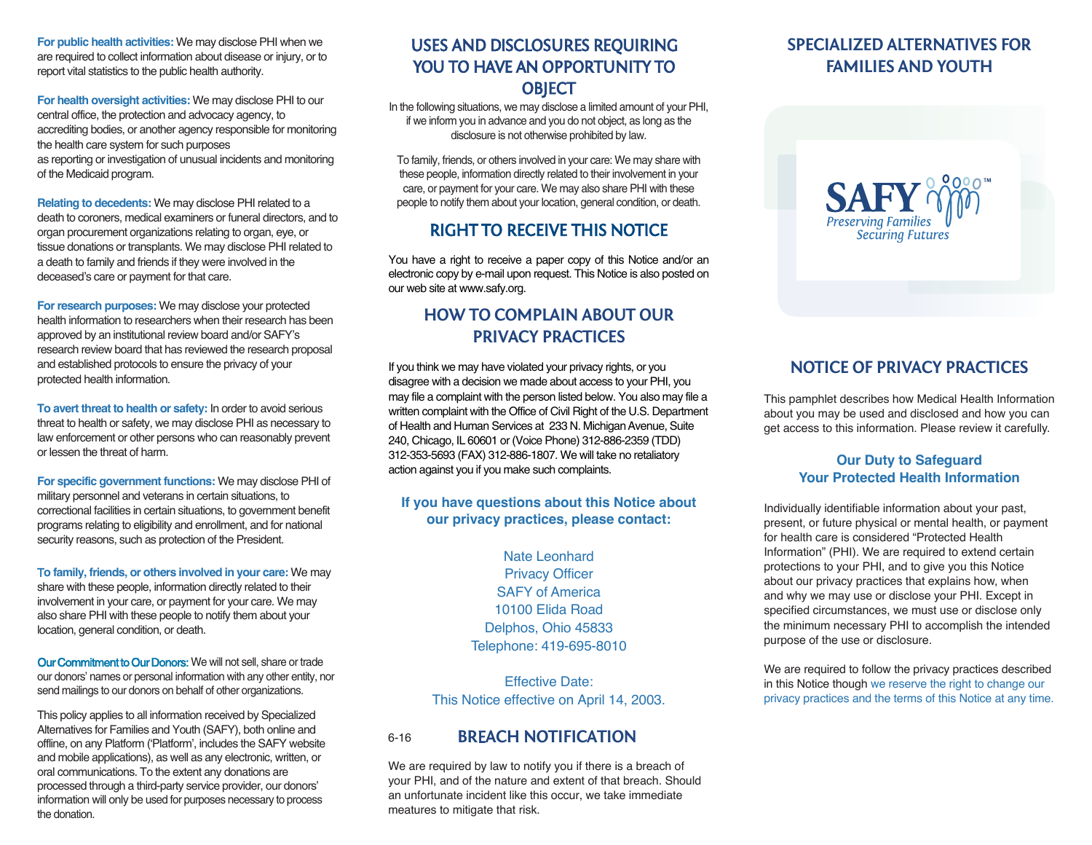**For public health activities:** We may disclose PHI when we are required to collect information about disease or injury, or to report vital statistics to the public health authority.

**For health oversight activities:** We may disclose PHI to our central office, the protection and advocacy agency, to accrediting bodies, or another agency responsible for monitoring the health care system for such purposes as reporting or investigation of unusual incidents and monitoring of the Medicaid program.

**Relating to decedents:** We may disclose PHI related to a death to coroners, medical examiners or funeral directors, and to organ procurement organizations relating to organ, eye, or tissue donations or transplants. We may disclose PHI related to a death to family and friends if they were involved in the deceased's care or payment for that care.

**For research purposes:** We may disclose your protected health information to researchers when their research has been approved by an institutional review board and/or SAFY's research review board that has reviewed the research proposal and established protocols to ensure the privacy of your protected health information.

**To avert threat to health or safety:** In order to avoid serious threat to health or safety, we may disclose PHI as necessary to law enforcement or other persons who can reasonably prevent or lessen the threat of harm.

**For specific government functions:** We may disclose PHI of military personnel and veterans in certain situations, to correctional facilities in certain situations, to government benefit programs relating to eligibility and enrollment, and for national security reasons, such as protection of the President.

T**o family, friends, or others involved in your care:** We may share with these people, information directly related to their involvement in your care, or payment for your care. We may also share PHI with these people to notify them about your location, general condition, or death.

Our Commitment to Our Donors: We will not sell, share or trade our donors' names or personal information with any other entity, nor send mailings to our donors on behalf of other organizations.

This policy applies to all information received by Specialized Alternatives for Families and Youth (SAFY), both online and offline, on any Platform ('Platform', includes the SAFY website and mobile applications), as well as any electronic, written, or oral communications. To the extent any donations are processed through a third-party service provider, our donors' information will only be used for purposes necessary to process the donation.

### USES AND DISCLOSURES REQUIRING YOU TO HAVE AN OPPORTUNITY TO **OBIECT**

In the following situations, we may disclose a limited amount of your PHI, if we inform you in advance and you do not object, as long as the disclosure is not otherwise prohibited by law.

To family, friends, or others involved in your care: We may share with these people, information directly related to their involvement in your care, or payment for your care. We may also share PHI with these people to notify them about your location, general condition, or death.

# RIGHT TO RECEIVE THIS NOTICE

You have a right to receive a paper copy of this Notice and/or an electronic copy by e-mail upon request. This Notice is also posted on our web site at www.safy.org.

### **HOW TO COMPLAIN ABOUT OUR PRIVACY PRACTICES**

If you think we may have violated your privacy rights, or you disagree with a decision we made about access to your PHI, you may file a complaint with the person listed below. You also may file a written complaint with the Office of Civil Right of the U.S. Department of Health and Human Services at 233 N. Michigan Avenue, Suite 240, Chicago, IL 60601 or (Voice Phone) 312-886-2359 (TDD) 312-353-5693 (FAX) 312-886-1807. We will take no retaliatory action against you if you make such complaints.

#### **If you have questions about this Notice about our privacy practices, please contact:**

Nate Leonhard Privacy Officer SAFY of America 10100 Elida Road Delphos, Ohio 45833 Telephone: 419-695-8010

Effective Date: This Notice effective on April 14, 2003.

#### **BR**E**ACH NOTIFICATION** 6-16

We are required by law to notify you if there is a breach of your PHI, and of the nature and extent of that breach. Should an unfortunate incident like this occur, we take immediate meatures to mitigate that risk.

# **SPECIALIZED ALTERNATIVES FOR FAMILIES AND YOUTH**



## **NOTICE OF PRIVACY PRACTICES**

This pamphlet describes how Medical Health Information about you may be used and disclosed and how you can get access to this information. Please review it carefully.

### **Our Duty to Safeguard Your Protected Health Information**

Individually identifiable information about your past, present, or future physical or mental health, or payment for health care is considered "Protected Health Information" (PHI). We are required to extend certain protections to your PHI, and to give you this Notice about our privacy practices that explains how, when and why we may use or disclose your PHI. Except in specified circumstances, we must use or disclose only the minimum necessary PHI to accomplish the intended purpose of the use or disclosure.

We are required to follow the privacy practices described in this Notice though we reserve the right to change our privacy practices and the terms of this Notice at any time.